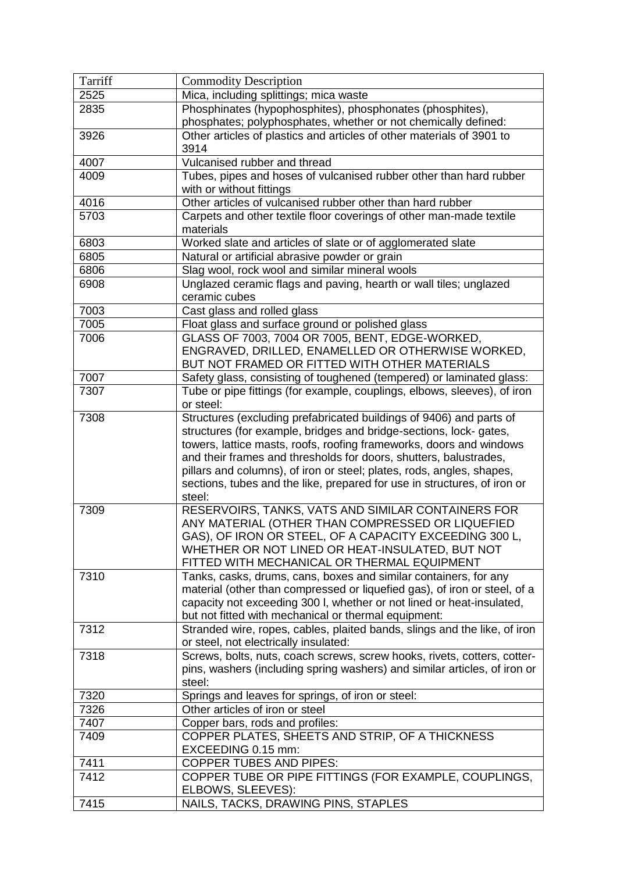| Tarriff | <b>Commodity Description</b>                                                                              |
|---------|-----------------------------------------------------------------------------------------------------------|
| 2525    | Mica, including splittings; mica waste                                                                    |
| 2835    | Phosphinates (hypophosphites), phosphonates (phosphites),                                                 |
|         | phosphates; polyphosphates, whether or not chemically defined:                                            |
| 3926    | Other articles of plastics and articles of other materials of 3901 to                                     |
|         | 3914                                                                                                      |
| 4007    | Vulcanised rubber and thread                                                                              |
| 4009    | Tubes, pipes and hoses of vulcanised rubber other than hard rubber                                        |
|         | with or without fittings                                                                                  |
| 4016    | Other articles of vulcanised rubber other than hard rubber                                                |
| 5703    | Carpets and other textile floor coverings of other man-made textile                                       |
|         | materials                                                                                                 |
| 6803    | Worked slate and articles of slate or of agglomerated slate                                               |
| 6805    | Natural or artificial abrasive powder or grain                                                            |
| 6806    | Slag wool, rock wool and similar mineral wools                                                            |
| 6908    | Unglazed ceramic flags and paving, hearth or wall tiles; unglazed<br>ceramic cubes                        |
| 7003    | Cast glass and rolled glass                                                                               |
| 7005    | Float glass and surface ground or polished glass                                                          |
| 7006    | GLASS OF 7003, 7004 OR 7005, BENT, EDGE-WORKED,                                                           |
|         | ENGRAVED, DRILLED, ENAMELLED OR OTHERWISE WORKED,                                                         |
|         | BUT NOT FRAMED OR FITTED WITH OTHER MATERIALS                                                             |
| 7007    | Safety glass, consisting of toughened (tempered) or laminated glass:                                      |
| 7307    | Tube or pipe fittings (for example, couplings, elbows, sleeves), of iron                                  |
|         | or steel:                                                                                                 |
| 7308    | Structures (excluding prefabricated buildings of 9406) and parts of                                       |
|         | structures (for example, bridges and bridge-sections, lock-gates,                                         |
|         | towers, lattice masts, roofs, roofing frameworks, doors and windows                                       |
|         | and their frames and thresholds for doors, shutters, balustrades,                                         |
|         | pillars and columns), of iron or steel; plates, rods, angles, shapes,                                     |
|         | sections, tubes and the like, prepared for use in structures, of iron or                                  |
|         | steel:                                                                                                    |
| 7309    | RESERVOIRS, TANKS, VATS AND SIMILAR CONTAINERS FOR                                                        |
|         | ANY MATERIAL (OTHER THAN COMPRESSED OR LIQUEFIED<br>GAS), OF IRON OR STEEL, OF A CAPACITY EXCEEDING 300 L |
|         | WHETHER OR NOT LINED OR HEAT-INSULATED, BUT NOT                                                           |
|         | FITTED WITH MECHANICAL OR THERMAL EQUIPMENT                                                               |
| 7310    | Tanks, casks, drums, cans, boxes and similar containers, for any                                          |
|         | material (other than compressed or liquefied gas), of iron or steel, of a                                 |
|         | capacity not exceeding 300 I, whether or not lined or heat-insulated,                                     |
|         | but not fitted with mechanical or thermal equipment:                                                      |
| 7312    | Stranded wire, ropes, cables, plaited bands, slings and the like, of iron                                 |
|         | or steel, not electrically insulated:                                                                     |
| 7318    | Screws, bolts, nuts, coach screws, screw hooks, rivets, cotters, cotter-                                  |
|         | pins, washers (including spring washers) and similar articles, of iron or                                 |
|         | steel:                                                                                                    |
| 7320    | Springs and leaves for springs, of iron or steel:                                                         |
| 7326    | Other articles of iron or steel                                                                           |
| 7407    | Copper bars, rods and profiles:                                                                           |
| 7409    | COPPER PLATES, SHEETS AND STRIP, OF A THICKNESS                                                           |
|         | EXCEEDING 0.15 mm:                                                                                        |
| 7411    | <b>COPPER TUBES AND PIPES:</b>                                                                            |
| 7412    | COPPER TUBE OR PIPE FITTINGS (FOR EXAMPLE, COUPLINGS,                                                     |
|         | ELBOWS, SLEEVES):                                                                                         |
| 7415    | NAILS, TACKS, DRAWING PINS, STAPLES                                                                       |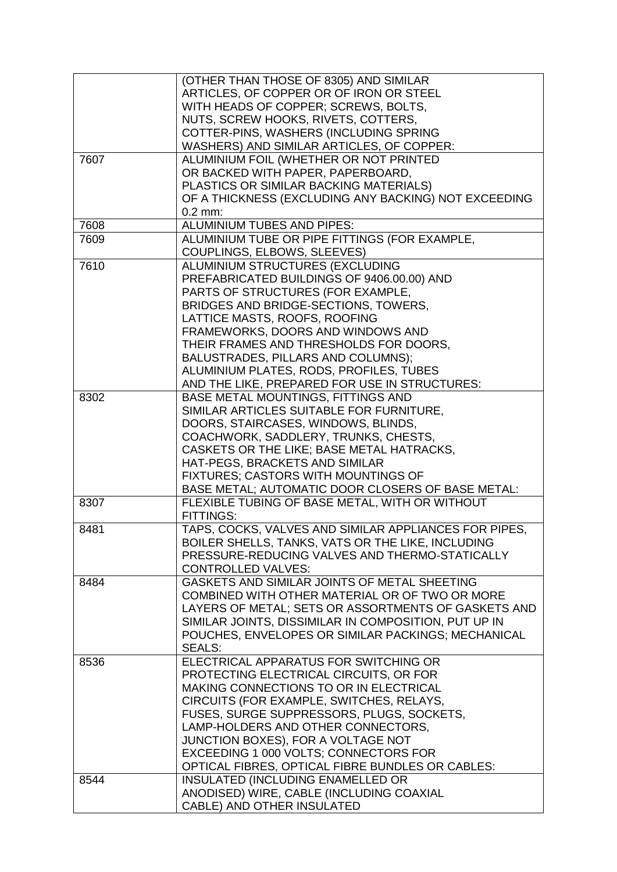|      | (OTHER THAN THOSE OF 8305) AND SIMILAR                |
|------|-------------------------------------------------------|
|      | ARTICLES, OF COPPER OR OF IRON OR STEEL               |
|      | WITH HEADS OF COPPER; SCREWS, BOLTS,                  |
|      | NUTS, SCREW HOOKS, RIVETS, COTTERS,                   |
|      | COTTER-PINS, WASHERS (INCLUDING SPRING                |
|      | WASHERS) AND SIMILAR ARTICLES, OF COPPER:             |
| 7607 | ALUMINIUM FOIL (WHETHER OR NOT PRINTED                |
|      | OR BACKED WITH PAPER, PAPERBOARD,                     |
|      | PLASTICS OR SIMILAR BACKING MATERIALS)                |
|      | OF A THICKNESS (EXCLUDING ANY BACKING) NOT EXCEEDING  |
|      | $0.2$ mm:                                             |
| 7608 | ALUMINIUM TUBES AND PIPES:                            |
| 7609 | ALUMINIUM TUBE OR PIPE FITTINGS (FOR EXAMPLE,         |
|      | COUPLINGS, ELBOWS, SLEEVES)                           |
| 7610 | ALUMINIUM STRUCTURES (EXCLUDING                       |
|      | PREFABRICATED BUILDINGS OF 9406.00.00) AND            |
|      | PARTS OF STRUCTURES (FOR EXAMPLE,                     |
|      | BRIDGES AND BRIDGE-SECTIONS, TOWERS,                  |
|      | LATTICE MASTS, ROOFS, ROOFING                         |
|      | FRAMEWORKS, DOORS AND WINDOWS AND                     |
|      | THEIR FRAMES AND THRESHOLDS FOR DOORS,                |
|      | BALUSTRADES, PILLARS AND COLUMNS);                    |
|      | ALUMINIUM PLATES, RODS, PROFILES, TUBES               |
|      | AND THE LIKE, PREPARED FOR USE IN STRUCTURES:         |
| 8302 | BASE METAL MOUNTINGS, FITTINGS AND                    |
|      | SIMILAR ARTICLES SUITABLE FOR FURNITURE,              |
|      | DOORS, STAIRCASES, WINDOWS, BLINDS,                   |
|      | COACHWORK, SADDLERY, TRUNKS, CHESTS,                  |
|      | CASKETS OR THE LIKE; BASE METAL HATRACKS,             |
|      | HAT-PEGS, BRACKETS AND SIMILAR                        |
|      | FIXTURES; CASTORS WITH MOUNTINGS OF                   |
|      | BASE METAL; AUTOMATIC DOOR CLOSERS OF BASE METAL:     |
| 8307 | FLEXIBLE TUBING OF BASE METAL, WITH OR WITHOUT        |
|      | FITTINGS:                                             |
| 8481 | TAPS, COCKS, VALVES AND SIMILAR APPLIANCES FOR PIPES, |
|      | BOILER SHELLS, TANKS, VATS OR THE LIKE, INCLUDING     |
|      | PRESSURE-REDUCING VALVES AND THERMO-STATICALLY        |
|      | <b>CONTROLLED VALVES:</b>                             |
| 8484 | GASKETS AND SIMILAR JOINTS OF METAL SHEETING          |
|      | COMBINED WITH OTHER MATERIAL OR OF TWO OR MORE        |
|      | LAYERS OF METAL; SETS OR ASSORTMENTS OF GASKETS AND   |
|      | SIMILAR JOINTS, DISSIMILAR IN COMPOSITION, PUT UP IN  |
|      | POUCHES, ENVELOPES OR SIMILAR PACKINGS; MECHANICAL    |
|      | <b>SEALS:</b>                                         |
| 8536 | ELECTRICAL APPARATUS FOR SWITCHING OR                 |
|      | PROTECTING ELECTRICAL CIRCUITS, OR FOR                |
|      | MAKING CONNECTIONS TO OR IN ELECTRICAL                |
|      | CIRCUITS (FOR EXAMPLE, SWITCHES, RELAYS,              |
|      | FUSES, SURGE SUPPRESSORS, PLUGS, SOCKETS,             |
|      | LAMP-HOLDERS AND OTHER CONNECTORS,                    |
|      | JUNCTION BOXES), FOR A VOLTAGE NOT                    |
|      | EXCEEDING 1 000 VOLTS; CONNECTORS FOR                 |
|      | OPTICAL FIBRES, OPTICAL FIBRE BUNDLES OR CABLES:      |
| 8544 | INSULATED (INCLUDING ENAMELLED OR                     |
|      | ANODISED) WIRE, CABLE (INCLUDING COAXIAL              |
|      | CABLE) AND OTHER INSULATED                            |